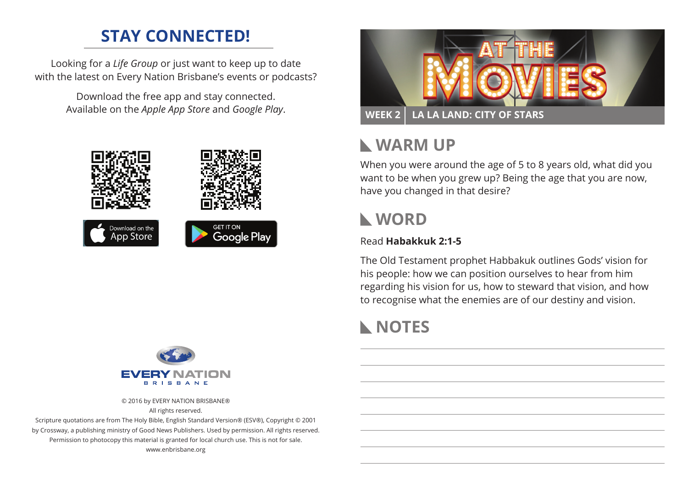## **STAY CONNECTED!**

Looking for a *Life Group* or just want to keep up to date with the latest on Every Nation Brisbane's events or podcasts?

> Download the free app and stay connected. Available on the *Apple App Store* and *Google Play*.





## **Warm Up**

When you were around the age of 5 to 8 years old, what did you want to be when you grew up? Being the age that you are now, have you changed in that desire?

## **WORD**

#### Read **Habakkuk 2:1-5**

The Old Testament prophet Habbakuk outlines Gods' vision for his people: how we can position ourselves to hear from him regarding his vision for us, how to steward that vision, and how to recognise what the enemies are of our destiny and vision.

# **NOTES**



© 2016 by EVERY NATION BRISBANE® All rights reserved.

Scripture quotations are from The Holy Bible, English Standard Version® (ESV®), Copyright © 2001 by Crossway, a publishing ministry of Good News Publishers. Used by permission. All rights reserved. Permission to photocopy this material is granted for local church use. This is not for sale. www.enbrisbane.org